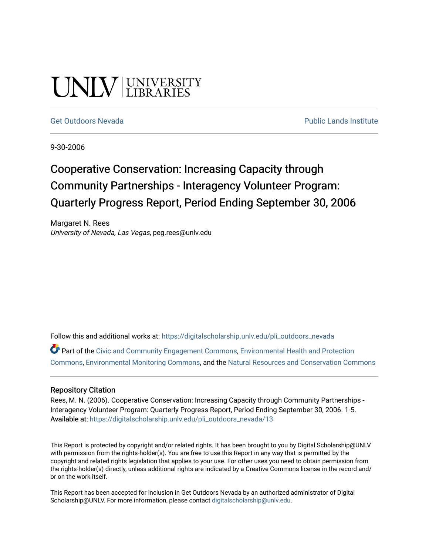# UNIV UNIVERSITY

#### [Get Outdoors Nevada](https://digitalscholarship.unlv.edu/pli_outdoors_nevada) **Public Lands Institute** Public Lands Institute

9-30-2006

## Cooperative Conservation: Increasing Capacity through Community Partnerships - Interagency Volunteer Program: Quarterly Progress Report, Period Ending September 30, 2006

Margaret N. Rees University of Nevada, Las Vegas, peg.rees@unlv.edu

Follow this and additional works at: [https://digitalscholarship.unlv.edu/pli\\_outdoors\\_nevada](https://digitalscholarship.unlv.edu/pli_outdoors_nevada?utm_source=digitalscholarship.unlv.edu%2Fpli_outdoors_nevada%2F13&utm_medium=PDF&utm_campaign=PDFCoverPages)

Part of the [Civic and Community Engagement Commons](http://network.bepress.com/hgg/discipline/1028?utm_source=digitalscholarship.unlv.edu%2Fpli_outdoors_nevada%2F13&utm_medium=PDF&utm_campaign=PDFCoverPages), [Environmental Health and Protection](http://network.bepress.com/hgg/discipline/172?utm_source=digitalscholarship.unlv.edu%2Fpli_outdoors_nevada%2F13&utm_medium=PDF&utm_campaign=PDFCoverPages)  [Commons](http://network.bepress.com/hgg/discipline/172?utm_source=digitalscholarship.unlv.edu%2Fpli_outdoors_nevada%2F13&utm_medium=PDF&utm_campaign=PDFCoverPages), [Environmental Monitoring Commons,](http://network.bepress.com/hgg/discipline/931?utm_source=digitalscholarship.unlv.edu%2Fpli_outdoors_nevada%2F13&utm_medium=PDF&utm_campaign=PDFCoverPages) and the [Natural Resources and Conservation Commons](http://network.bepress.com/hgg/discipline/168?utm_source=digitalscholarship.unlv.edu%2Fpli_outdoors_nevada%2F13&utm_medium=PDF&utm_campaign=PDFCoverPages)

#### Repository Citation

Rees, M. N. (2006). Cooperative Conservation: Increasing Capacity through Community Partnerships - Interagency Volunteer Program: Quarterly Progress Report, Period Ending September 30, 2006. 1-5. Available at: [https://digitalscholarship.unlv.edu/pli\\_outdoors\\_nevada/13](https://digitalscholarship.unlv.edu/pli_outdoors_nevada/13) 

This Report is protected by copyright and/or related rights. It has been brought to you by Digital Scholarship@UNLV with permission from the rights-holder(s). You are free to use this Report in any way that is permitted by the copyright and related rights legislation that applies to your use. For other uses you need to obtain permission from the rights-holder(s) directly, unless additional rights are indicated by a Creative Commons license in the record and/ or on the work itself.

This Report has been accepted for inclusion in Get Outdoors Nevada by an authorized administrator of Digital Scholarship@UNLV. For more information, please contact [digitalscholarship@unlv.edu.](mailto:digitalscholarship@unlv.edu)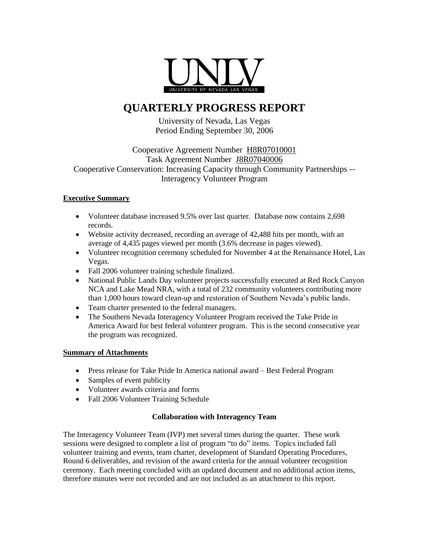

### **QUARTERLY PROGRESS REPORT**

University of Nevada, Las Vegas Period Ending September 30, 2006

#### Cooperative Agreement Number H8R07010001 Task Agreement Number J8R07040006 Cooperative Conservation: Increasing Capacity through Community Partnerships -- Interagency Volunteer Program

#### **Executive Summary**

- Volunteer database increased 9.5% over last quarter. Database now contains 2,698 records.
- Website activity decreased, recording an average of 42,488 hits per month, with an average of 4,435 pages viewed per month (3.6% decrease in pages viewed).
- Volunteer recognition ceremony scheduled for November 4 at the Renaissance Hotel, Las Vegas.
- Fall 2006 volunteer training schedule finalized.
- National Public Lands Day volunteer projects successfully executed at Red Rock Canyon NCA and Lake Mead NRA, with a total of 232 community volunteers contributing more than 1,000 hours toward clean-up and restoration of Southern Nevada's public lands.
- Team charter presented to the federal managers.
- The Southern Nevada Interagency Volunteer Program received the Take Pride in America Award for best federal volunteer program. This is the second consecutive year the program was recognized.

#### **Summary of Attachments**

- Press release for Take Pride In America national award Best Federal Program
- Samples of event publicity
- Volunteer awards criteria and forms
- Fall 2006 Volunteer Training Schedule

#### **Collaboration with Interagency Team**

The Interagency Volunteer Team (IVP) met several times during the quarter. These work sessions were designed to complete a list of program "to do" items. Topics included fall volunteer training and events, team charter, development of Standard Operating Procedures, Round 6 deliverables, and revision of the award criteria for the annual volunteer recognition ceremony. Each meeting concluded with an updated document and no additional action items, therefore minutes were not recorded and are not included as an attachment to this report.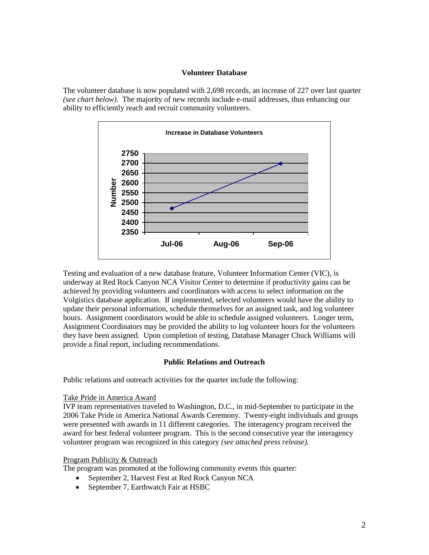#### **Volunteer Database**

The volunteer database is now populated with 2,698 records, an increase of 227 over last quarter *(see chart below)*. The majority of new records include e-mail addresses, thus enhancing our ability to efficiently reach and recruit community volunteers.



Testing and evaluation of a new database feature, Volunteer Information Center (VIC), is underway at Red Rock Canyon NCA Visitor Center to determine if productivity gains can be achieved by providing volunteers and coordinators with access to select information on the Volgistics database application. If implemented, selected volunteers would have the ability to update their personal information, schedule themselves for an assigned task, and log volunteer hours. Assignment coordinators would be able to schedule assigned volunteers. Longer term, Assignment Coordinators may be provided the ability to log volunteer hours for the volunteers they have been assigned. Upon completion of testing, Database Manager Chuck Williams will provide a final report, including recommendations.

#### **Public Relations and Outreach**

Public relations and outreach activities for the quarter include the following:

#### Take Pride in America Award

IVP team representatives traveled to Washington, D.C., in mid-September to participate in the 2006 Take Pride in America National Awards Ceremony. Twenty-eight individuals and groups were presented with awards in 11 different categories. The interagency program received the award for best federal volunteer program. This is the second consecutive year the interagency volunteer program was recognized in this category *(see attached press release).*

#### Program Publicity & Outreach

The program was promoted at the following community events this quarter:

- September 2, Harvest Fest at Red Rock Canyon NCA
- September 7, Earthwatch Fair at HSBC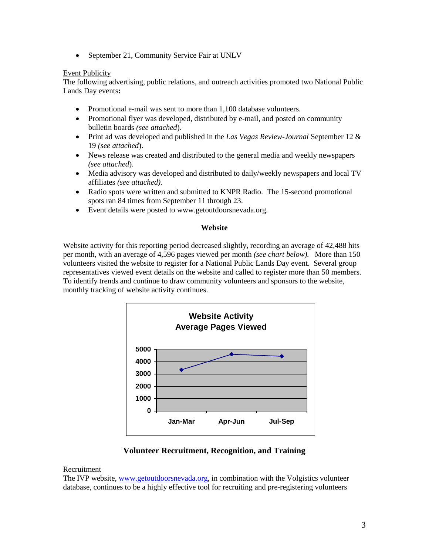• September 21, Community Service Fair at UNLV

#### Event Publicity

The following advertising, public relations, and outreach activities promoted two National Public Lands Day events**:**

- Promotional e-mail was sent to more than 1,100 database volunteers.
- Promotional flyer was developed, distributed by e-mail, and posted on community bulletin boards *(see attached*).
- Print ad was developed and published in the *Las Vegas Review-Journal* September 12 & 19 *(see attached*).
- News release was created and distributed to the general media and weekly newspapers *(see attached*).
- Media advisory was developed and distributed to daily/weekly newspapers and local TV affiliates *(see attached).*
- Radio spots were written and submitted to KNPR Radio. The 15-second promotional spots ran 84 times from September 11 through 23.
- Event details were posted to www.getoutdoorsnevada.org.

#### **Website**

Website activity for this reporting period decreased slightly, recording an average of 42,488 hits per month, with an average of 4,596 pages viewed per month *(see chart below).* More than 150 volunteers visited the website to register for a National Public Lands Day event. Several group representatives viewed event details on the website and called to register more than 50 members. To identify trends and continue to draw community volunteers and sponsors to the website, monthly tracking of website activity continues.



**Volunteer Recruitment, Recognition, and Training**

#### Recruitment

The IVP website, [www.getoutdoorsnevada.org,](http://www.getoutdoorsnevada.org/) in combination with the Volgistics volunteer database, continues to be a highly effective tool for recruiting and pre-registering volunteers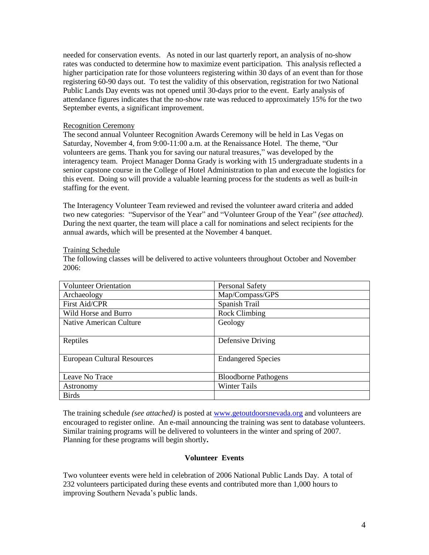needed for conservation events. As noted in our last quarterly report, an analysis of no-show rates was conducted to determine how to maximize event participation. This analysis reflected a higher participation rate for those volunteers registering within 30 days of an event than for those registering 60-90 days out. To test the validity of this observation, registration for two National Public Lands Day events was not opened until 30-days prior to the event. Early analysis of attendance figures indicates that the no-show rate was reduced to approximately 15% for the two September events, a significant improvement.

#### Recognition Ceremony

The second annual Volunteer Recognition Awards Ceremony will be held in Las Vegas on Saturday, November 4, from 9:00-11:00 a.m. at the Renaissance Hotel. The theme, "Our volunteers are gems. Thank you for saving our natural treasures," was developed by the interagency team. Project Manager Donna Grady is working with 15 undergraduate students in a senior capstone course in the College of Hotel Administration to plan and execute the logistics for this event. Doing so will provide a valuable learning process for the students as well as built-in staffing for the event.

The Interagency Volunteer Team reviewed and revised the volunteer award criteria and added two new categories: "Supervisor of the Year" and "Volunteer Group of the Year" *(see attached).* During the next quarter, the team will place a call for nominations and select recipients for the annual awards, which will be presented at the November 4 banquet.

#### Training Schedule

The following classes will be delivered to active volunteers throughout October and November 2006:

| <b>Volunteer Orientation</b>       | <b>Personal Safety</b>      |
|------------------------------------|-----------------------------|
| Archaeology                        | Map/Compass/GPS             |
| <b>First Aid/CPR</b>               | Spanish Trail               |
| Wild Horse and Burro               | <b>Rock Climbing</b>        |
| Native American Culture            | Geology                     |
| Reptiles                           | Defensive Driving           |
| <b>European Cultural Resources</b> | <b>Endangered Species</b>   |
| Leave No Trace                     | <b>Bloodborne Pathogens</b> |
| Astronomy                          | Winter Tails                |
| <b>Birds</b>                       |                             |

The training schedule *(see attached)* is posted at [www.getoutdoorsnevada.org](http://www.getoutdoorsnevada.org/) and volunteers are encouraged to register online. An e-mail announcing the training was sent to database volunteers. Similar training programs will be delivered to volunteers in the winter and spring of 2007. Planning for these programs will begin shortly**.**

#### **Volunteer Events**

Two volunteer events were held in celebration of 2006 National Public Lands Day. A total of 232 volunteers participated during these events and contributed more than 1,000 hours to improving Southern Nevada's public lands.